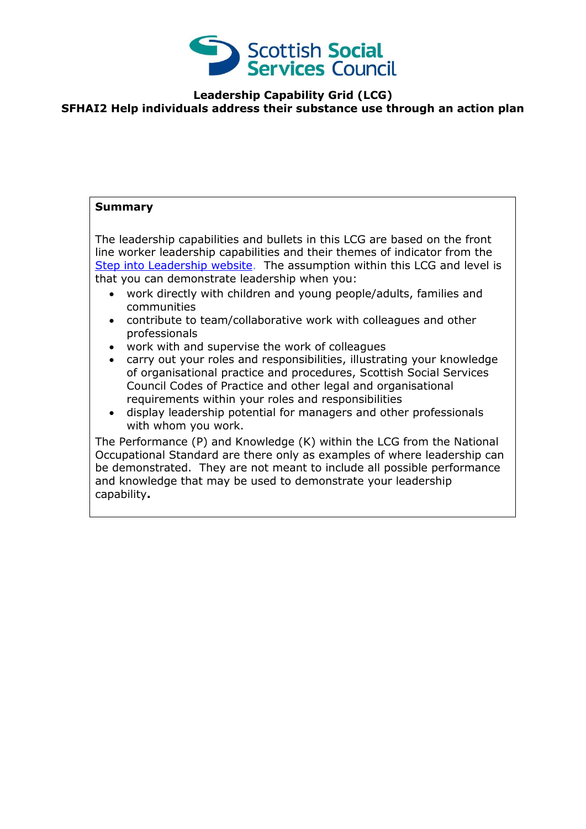

## **Leadership Capability Grid (LCG) SFHAI2 Help individuals address their substance use through an action plan**

## **Summary**

The leadership capabilities and bullets in this LCG are based on the front line worker leadership capabilities and their themes of indicator from the [Step into Leadership](http://www.stepintoleadership.info/) website. The assumption within this LCG and level is that you can demonstrate leadership when you:

- work directly with children and young people/adults, families and communities
- contribute to team/collaborative work with colleagues and other professionals
- work with and supervise the work of colleagues
- carry out your roles and responsibilities, illustrating your knowledge of organisational practice and procedures, Scottish Social Services Council Codes of Practice and other legal and organisational requirements within your roles and responsibilities
- display leadership potential for managers and other professionals with whom you work.

The Performance (P) and Knowledge (K) within the LCG from the National Occupational Standard are there only as examples of where leadership can be demonstrated. They are not meant to include all possible performance and knowledge that may be used to demonstrate your leadership capability**.**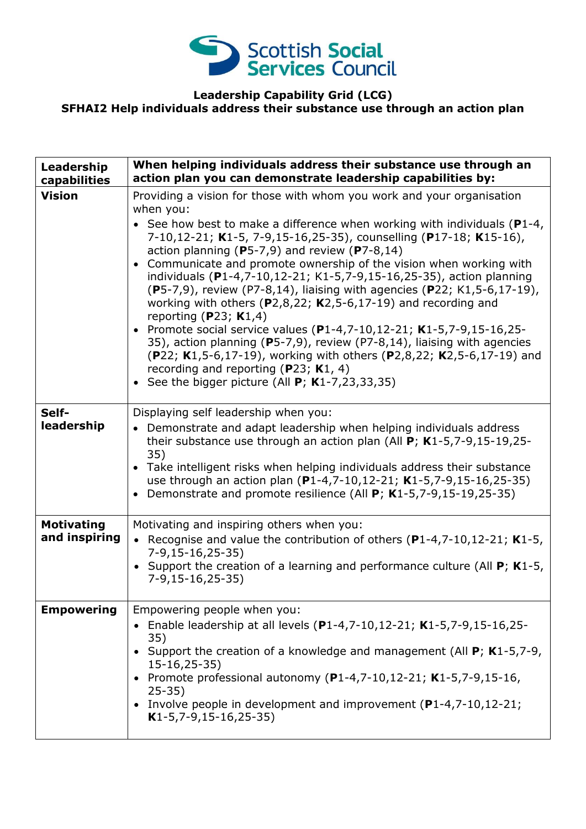

## **Leadership Capability Grid (LCG) SFHAI2 Help individuals address their substance use through an action plan**

| Leadership<br>capabilities         | When helping individuals address their substance use through an<br>action plan you can demonstrate leadership capabilities by:                                                                                                                                                                                                                                                                                                                                                                                                                                                                                                                                                                                                                                                                                                                                                                                                                          |
|------------------------------------|---------------------------------------------------------------------------------------------------------------------------------------------------------------------------------------------------------------------------------------------------------------------------------------------------------------------------------------------------------------------------------------------------------------------------------------------------------------------------------------------------------------------------------------------------------------------------------------------------------------------------------------------------------------------------------------------------------------------------------------------------------------------------------------------------------------------------------------------------------------------------------------------------------------------------------------------------------|
| <b>Vision</b>                      | Providing a vision for those with whom you work and your organisation<br>when you:<br>• See how best to make a difference when working with individuals ( $P1-4$ ,<br>7-10,12-21; K1-5, 7-9,15-16,25-35), counselling (P17-18; K15-16),<br>action planning (P5-7,9) and review (P7-8,14)<br>Communicate and promote ownership of the vision when working with<br>$\bullet$<br>individuals (P1-4,7-10,12-21; K1-5,7-9,15-16,25-35), action planning<br>(P5-7,9), review (P7-8,14), liaising with agencies (P22; K1,5-6,17-19),<br>working with others ( $P2,8,22$ ; K2,5-6,17-19) and recording and<br>reporting (P23; $K1,4$ )<br>• Promote social service values (P1-4,7-10,12-21; K1-5,7-9,15-16,25-<br>35), action planning (P5-7,9), review (P7-8,14), liaising with agencies<br>(P22; K1,5-6,17-19), working with others (P2,8,22; K2,5-6,17-19) and<br>recording and reporting (P23; K1, 4)<br>• See the bigger picture (All $P$ ; K1-7,23,33,35) |
| Self-<br>leadership                | Displaying self leadership when you:<br>Demonstrate and adapt leadership when helping individuals address<br>their substance use through an action plan (All $P$ ; K1-5,7-9,15-19,25-<br>35)<br>• Take intelligent risks when helping individuals address their substance<br>use through an action plan (P1-4,7-10,12-21; K1-5,7-9,15-16,25-35)<br>Demonstrate and promote resilience (All P; K1-5,7-9,15-19,25-35)<br>$\bullet$                                                                                                                                                                                                                                                                                                                                                                                                                                                                                                                        |
| <b>Motivating</b><br>and inspiring | Motivating and inspiring others when you:<br>• Recognise and value the contribution of others $(P1-4,7-10,12-21; K1-5,$<br>$7-9,15-16,25-35)$<br>• Support the creation of a learning and performance culture (All $P$ ; K1-5,<br>$7-9,15-16,25-35)$                                                                                                                                                                                                                                                                                                                                                                                                                                                                                                                                                                                                                                                                                                    |
| <b>Empowering</b>                  | Empowering people when you:<br>• Enable leadership at all levels $(P1-4,7-10,12-21; K1-5,7-9,15-16,25-$<br>35)<br>• Support the creation of a knowledge and management (All $P$ ; K1-5,7-9,<br>$15-16, 25-35)$<br>• Promote professional autonomy (P1-4,7-10,12-21; K1-5,7-9,15-16,<br>$25 - 35$<br>• Involve people in development and improvement (P1-4,7-10,12-21;<br>$K1-5, 7-9, 15-16, 25-35)$                                                                                                                                                                                                                                                                                                                                                                                                                                                                                                                                                     |